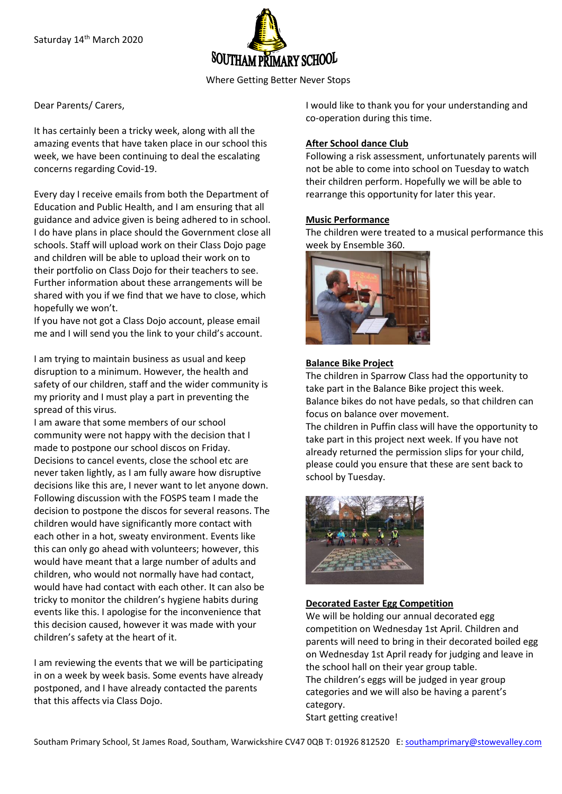

Where Getting Better Never Stops

### Dear Parents/ Carers,

It has certainly been a tricky week, along with all the amazing events that have taken place in our school this week, we have been continuing to deal the escalating concerns regarding Covid-19.

Every day I receive emails from both the Department of Education and Public Health, and I am ensuring that all guidance and advice given is being adhered to in school. I do have plans in place should the Government close all schools. Staff will upload work on their Class Dojo page and children will be able to upload their work on to their portfolio on Class Dojo for their teachers to see. Further information about these arrangements will be shared with you if we find that we have to close, which hopefully we won't.

If you have not got a Class Dojo account, please email me and I will send you the link to your child's account.

I am trying to maintain business as usual and keep disruption to a minimum. However, the health and safety of our children, staff and the wider community is my priority and I must play a part in preventing the spread of this virus.

I am aware that some members of our school community were not happy with the decision that I made to postpone our school discos on Friday. Decisions to cancel events, close the school etc are never taken lightly, as I am fully aware how disruptive decisions like this are, I never want to let anyone down. Following discussion with the FOSPS team I made the decision to postpone the discos for several reasons. The children would have significantly more contact with each other in a hot, sweaty environment. Events like this can only go ahead with volunteers; however, this would have meant that a large number of adults and children, who would not normally have had contact, would have had contact with each other. It can also be tricky to monitor the children's hygiene habits during events like this. I apologise for the inconvenience that this decision caused, however it was made with your children's safety at the heart of it.

I am reviewing the events that we will be participating in on a week by week basis. Some events have already postponed, and I have already contacted the parents that this affects via Class Dojo.

I would like to thank you for your understanding and co-operation during this time.

### **After School dance Club**

Following a risk assessment, unfortunately parents will not be able to come into school on Tuesday to watch their children perform. Hopefully we will be able to rearrange this opportunity for later this year.

### **Music Performance**

The children were treated to a musical performance this week by Ensemble 360.



#### **Balance Bike Project**

The children in Sparrow Class had the opportunity to take part in the Balance Bike project this week. Balance bikes do not have pedals, so that children can focus on balance over movement.

The children in Puffin class will have the opportunity to take part in this project next week. If you have not already returned the permission slips for your child, please could you ensure that these are sent back to school by Tuesday.



### **Decorated Easter Egg Competition**

We will be holding our annual decorated egg competition on Wednesday 1st April. Children and parents will need to bring in their decorated boiled egg on Wednesday 1st April ready for judging and leave in the school hall on their year group table. The children's eggs will be judged in year group categories and we will also be having a parent's category.